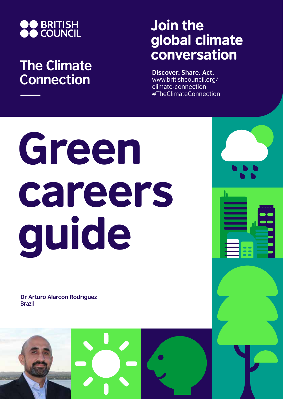

## **The Climate Connection**

## Join the global climate conversation

**Discover. Share. Act.** www.britishcouncil.org/ climate-connection #TheClimateConnection

## Green careers guide

**Dr Arturo Alarcon Rodriguez** Brazil

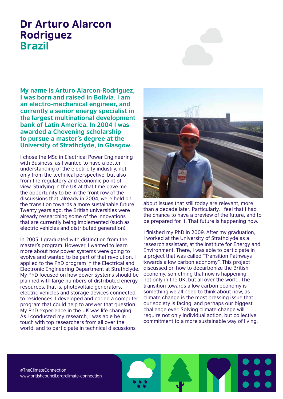## Dr Arturo Alarcon Rodriguez Brazil

**My name is Arturo Alarcon-Rodriguez, I was born and raised in Bolivia. I am an electro-mechanical engineer, and currently a senior energy specialist in the largest multinational development bank of Latin America. In 2004 I was awarded a Chevening scholarship to pursue a master´s degree at the University of Strathclyde, in Glasgow.** 

I chose the MSc in Electrical Power Engineering with Business, as I wanted to have a better understanding of the electricity industry, not only from the technical perspective, but also from the regulatory and economic point of view. Studying in the UK at that time gave me the opportunity to be in the front row of the discussions that, already in 2004, were held on the transition towards a more sustainable future. Twenty years ago, the British universities were already researching some of the innovations that are currently being implemented (such as electric vehicles and distributed generation).

In 2005, I graduated with distinction from the master's program. However, I wanted to learn more about how power systems were going to evolve and wanted to be part of that revolution. I applied to the PhD program in the Electrical and Electronic Engineering Department at Strathclyde. My PhD focused on how power systems should be planned with large numbers of distributed energy resources, that is, photovoltaic generators, electric vehicles and storage devices connected to residences. I developed and coded a computer program that could help to answer that question. My PhD experience in the UK was life changing. As I conducted my research, I was able be in touch with top researchers from all over the world, and to participate in technical discussions



about issues that still today are relevant, more than a decade later. Particularly, I feel that I had the chance to have a preview of the future, and to be prepared for it. That future is happening now.

I finished my PhD in 2009. After my graduation, I worked at the University of Strathclyde as a research assistant, at the Institute for Energy and Environment. There, I was able to participate in a project that was called "Transition Pathways towards a low carbon economy". This project discussed on how to decarbonize the British economy, something that now is happening, not only in the UK, but all over the world. The transition towards a low carbon economy is something we all need to think about now, as climate change is the most pressing issue that our society is facing, and perhaps our biggest challenge ever. Solving climate change will require not only individual action, but collective commitment to a more sustainable way of living.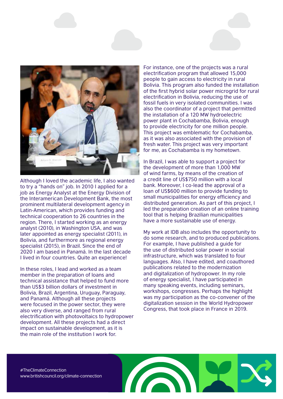

Although I loved the academic life, I also wanted to try a "hands on" job. In 2010 I applied for a job as Energy Analyst at the Energy Division of the Interamerican Development Bank, the most prominent multilateral development agency in Latin-American, which provides funding and technical cooperation to 26 countries in the region. There, I started working as an energy analyst (2010), in Washington USA, and was later appointed as energy specialist (2011), in Bolivia, and furthermore as regional energy specialist (2015), in Brazil. Since the end of 2020 I am based in Panamá. In the last decade I lived in four countries. Quite an experience!

In these roles, I lead and worked as a team member in the preparation of loans and technical assistance that helped to fund more than US\$3 billion dollars of investment in Bolivia, Brazil, Argentina, Uruguay, Paraguay, and Panamá. Although all these projects were focused in the power sector, they were also very diverse, and ranged from rural electrification with photovoltaics to hydropower development. All these projects had a direct impact on sustainable development, as it is the main role of the institution I work for.

For instance, one of the projects was a rural electrification program that allowed 15,000 people to gain access to electricity in rural Bolivia. This program also funded the installation of the first hybrid solar power microgrid for rural electrification in Bolivia, reducing the use of fossil fuels in very isolated communities. I was also the coordinator of a project that permitted the installation of a 120 MW hydroelectric power plant in Cochabamba, Bolivia, enough to provide electricity for one million people. This project was emblematic for Cochabamba, as it was also associated with the provision of fresh water. This project was very important for me, as Cochabamba is my hometown.

In Brazil, I was able to support a project for the development of more than 1,000 MW of wind farms, by means of the creation of a credit line of US\$750 million with a local bank. Moreover, I co-lead the approval of a loan of US\$600 million to provide funding to small municipalities for energy efficiency and distributed generation. As part of this project, I led the preparation creation of an online training tool that is helping Brazilian municipalities have a more sustainable use of energy.

My work at IDB also includes the opportunity to do some research, and to produced publications. For example, I have published a guide for the use of distributed solar power in social infrastructure, which was translated to four languages. Also, I have edited, and coauthored publications related to the modernization and digitalization of hydropower. In my role of energy specialist, I have participated in many speaking events, including seminars, workshops, congresses. Perhaps the highlight was my participation as the co-convener of the digitalization session in the World Hydropower Congress, that took place in France in 2019.

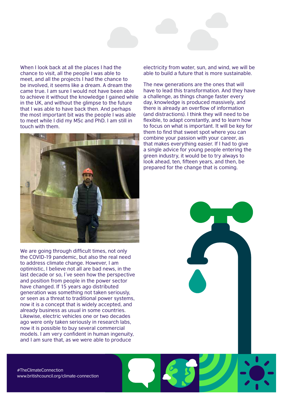

When I look back at all the places I had the chance to visit, all the people I was able to meet, and all the projects I had the chance to be involved, it seems like a dream. A dream the came true. I am sure I would not have been able to achieve it without the knowledge I gained while in the UK, and without the glimpse to the future that I was able to have back then. And perhaps the most important bit was the people I was able to meet while I did my MSc and PhD. I am still in touch with them.



We are going through difficult times, not only the COVID-19 pandemic, but also the real need to address climate change. However, I am optimistic, I believe not all are bad news, in the last decade or so, I´ve seen how the perspective and position from people in the power sector have changed. If 15 years ago distributed generation was something not taken seriously, or seen as a threat to traditional power systems, now it is a concept that is widely accepted, and already business as usual in some countries. Likewise, electric vehicles one or two decades ago were only taken seriously in research labs, now it is possible to buy several commercial models. I am very confident in human ingenuity, and I am sure that, as we were able to produce

electricity from water, sun, and wind, we will be able to build a future that is more sustainable.

The new generations are the ones that will have to lead this transformation. And they have a challenge, as things change faster every day, knowledge is produced massively, and there is already an overflow of information (and distractions). I think they will need to be flexible, to adapt constantly, and to learn how to focus on what is important. It will be key for them to find that sweet spot where you can combine your passion with your career, as that makes everything easier. If I had to give a single advice for young people entering the green industry, it would be to try always to look ahead, ten, fifteen years, and then, be prepared for the change that is coming.